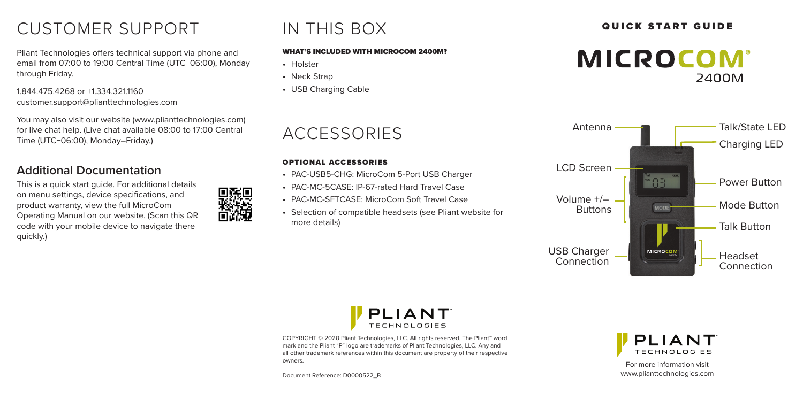# CUSTOMER SUPPORT A THIS BOX **QUICK START GUIDE**

Pliant Technologies offers technical support via phone and email from 07:00 to 19:00 Central Time (UTC−06:00), Monday through Friday.

1.844.475.4268 or +1.334.321.1160 customer.support@plianttechnologies.com

You may also visit our website (www.plianttechnologies.com) for live chat help. (Live chat available 08:00 to 17:00 Central Time (UTC−06:00), Monday–Friday.)

### **Additional Documentation**

This is a quick start guide. For additional details on menu settings, device specifications, and product warranty, view the full MicroCom Operating Manual on our website. (Scan this QR code with your mobile device to navigate there quickly.)



# IN THIS BOX

#### WHAT'S INCLUDED WITH MICROCOM 2400M?

- Holster
- Neck Strap
- USB Charging Cable

## ACCESSORIES

#### OPTIONAL ACCESSORIES

- PAC-USB5-CHG: MicroCom 5-Port USB Charger
- PAC-MC-5CASE: IP-67-rated Hard Travel Case
- PAC-MC-SFTCASE: MicroCom Soft Travel Case
- Selection of compatible headsets (see Pliant website for more details)









COPYRIGHT © 2020 Pliant Technologies, LLC. All rights reserved. The Pliant™ word mark and the Pliant "P" logo are trademarks of Pliant Technologies, LLC. Any and all other trademark references within this document are property of their respective owners.

Document Reference: D0000522\_B



For more information visit www.plianttechnologies.com